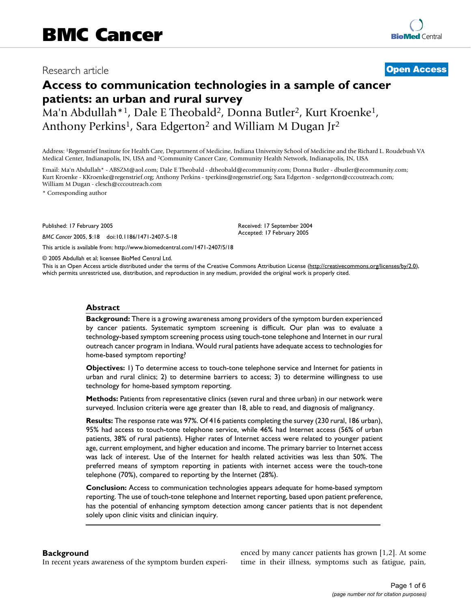# Research article **[Open Access](http://www.biomedcentral.com/info/about/charter/)**

# **Access to communication technologies in a sample of cancer patients: an urban and rural survey**

Ma'n Abdullah<sup>\*1</sup>, Dale E Theobald<sup>2</sup>, Donna Butler<sup>2</sup>, Kurt Kroenke<sup>1</sup>, Anthony Perkins<sup>1</sup>, Sara Edgerton<sup>2</sup> and William M Dugan Jr<sup>2</sup>

Address: 1Regenstrief Institute for Health Care, Department of Medicine, Indiana University School of Medicine and the Richard L. Roudebush VA Medical Center, Indianapolis, IN, USA and 2Community Cancer Care, Community Health Network, Indianapolis, IN, USA

Email: Ma'n Abdullah\* - ABSZM@aol.com; Dale E Theobald - dtheobald@ecommunity.com; Donna Butler - dbutler@ecommunity.com; Kurt Kroenke - KKroenke@regenstrief.org; Anthony Perkins - tperkins@regenstrief.org; Sara Edgerton - sedgerton@cccoutreach.com; William M Dugan - clesch@cccoutreach.com

\* Corresponding author

Published: 17 February 2005

*BMC Cancer* 2005, **5**:18 doi:10.1186/1471-2407-5-18

[This article is available from: http://www.biomedcentral.com/1471-2407/5/18](http://www.biomedcentral.com/1471-2407/5/18)

© 2005 Abdullah et al; licensee BioMed Central Ltd.

This is an Open Access article distributed under the terms of the Creative Commons Attribution License [\(http://creativecommons.org/licenses/by/2.0\)](http://creativecommons.org/licenses/by/2.0), which permits unrestricted use, distribution, and reproduction in any medium, provided the original work is properly cited.

Received: 17 September 2004 Accepted: 17 February 2005

#### **Abstract**

**Background:** There is a growing awareness among providers of the symptom burden experienced by cancer patients. Systematic symptom screening is difficult. Our plan was to evaluate a technology-based symptom screening process using touch-tone telephone and Internet in our rural outreach cancer program in Indiana. Would rural patients have adequate access to technologies for home-based symptom reporting?

**Objectives:** 1) To determine access to touch-tone telephone service and Internet for patients in urban and rural clinics; 2) to determine barriers to access; 3) to determine willingness to use technology for home-based symptom reporting.

**Methods:** Patients from representative clinics (seven rural and three urban) in our network were surveyed. Inclusion criteria were age greater than 18, able to read, and diagnosis of malignancy.

**Results:** The response rate was 97%. Of 416 patients completing the survey (230 rural, 186 urban), 95% had access to touch-tone telephone service, while 46% had Internet access (56% of urban patients, 38% of rural patients). Higher rates of Internet access were related to younger patient age, current employment, and higher education and income. The primary barrier to Internet access was lack of interest. Use of the Internet for health related activities was less than 50%. The preferred means of symptom reporting in patients with internet access were the touch-tone telephone (70%), compared to reporting by the Internet (28%).

**Conclusion:** Access to communication technologies appears adequate for home-based symptom reporting. The use of touch-tone telephone and Internet reporting, based upon patient preference, has the potential of enhancing symptom detection among cancer patients that is not dependent solely upon clinic visits and clinician inquiry.

#### **Background**

In recent years awareness of the symptom burden experi-

enced by many cancer patients has grown [1,2]. At some time in their illness, symptoms such as fatigue, pain,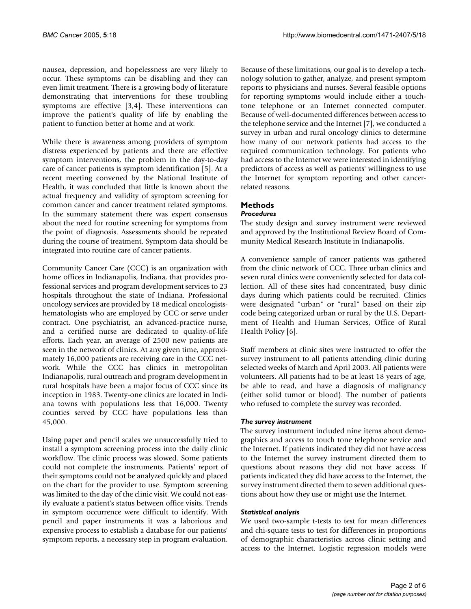nausea, depression, and hopelessness are very likely to occur. These symptoms can be disabling and they can even limit treatment. There is a growing body of literature demonstrating that interventions for these troubling symptoms are effective [3,4]. These interventions can improve the patient's quality of life by enabling the patient to function better at home and at work.

While there is awareness among providers of symptom distress experienced by patients and there are effective symptom interventions, the problem in the day-to-day care of cancer patients is symptom identification [5]. At a recent meeting convened by the National Institute of Health, it was concluded that little is known about the actual frequency and validity of symptom screening for common cancer and cancer treatment related symptoms. In the summary statement there was expert consensus about the need for routine screening for symptoms from the point of diagnosis. Assessments should be repeated during the course of treatment. Symptom data should be integrated into routine care of cancer patients.

Community Cancer Care (CCC) is an organization with home offices in Indianapolis, Indiana, that provides professional services and program development services to 23 hospitals throughout the state of Indiana. Professional oncology services are provided by 18 medical oncologistshematologists who are employed by CCC or serve under contract. One psychiatrist, an advanced-practice nurse, and a certified nurse are dedicated to quality-of-life efforts. Each year, an average of 2500 new patients are seen in the network of clinics. At any given time, approximately 16,000 patients are receiving care in the CCC network. While the CCC has clinics in metropolitan Indianapolis, rural outreach and program development in rural hospitals have been a major focus of CCC since its inception in 1983. Twenty-one clinics are located in Indiana towns with populations less that 16,000. Twenty counties served by CCC have populations less than 45,000.

Using paper and pencil scales we unsuccessfully tried to install a symptom screening process into the daily clinic workflow. The clinic process was slowed. Some patients could not complete the instruments. Patients' report of their symptoms could not be analyzed quickly and placed on the chart for the provider to use. Symptom screening was limited to the day of the clinic visit. We could not easily evaluate a patient's status between office visits. Trends in symptom occurrence were difficult to identify. With pencil and paper instruments it was a laborious and expensive process to establish a database for our patients' symptom reports, a necessary step in program evaluation. Because of these limitations, our goal is to develop a technology solution to gather, analyze, and present symptom reports to physicians and nurses. Several feasible options for reporting symptoms would include either a touchtone telephone or an Internet connected computer. Because of well-documented differences between access to the telephone service and the Internet [7], we conducted a survey in urban and rural oncology clinics to determine how many of our network patients had access to the required communication technology. For patients who had access to the Internet we were interested in identifying predictors of access as well as patients' willingness to use the Internet for symptom reporting and other cancerrelated reasons.

# **Methods**

## *Procedures*

The study design and survey instrument were reviewed and approved by the Institutional Review Board of Community Medical Research Institute in Indianapolis.

A convenience sample of cancer patients was gathered from the clinic network of CCC. Three urban clinics and seven rural clinics were conveniently selected for data collection. All of these sites had concentrated, busy clinic days during which patients could be recruited. Clinics were designated "urban" or "rural" based on their zip code being categorized urban or rural by the U.S. Department of Health and Human Services, Office of Rural Health Policy [6].

Staff members at clinic sites were instructed to offer the survey instrument to all patients attending clinic during selected weeks of March and April 2003. All patients were volunteers. All patients had to be at least 18 years of age, be able to read, and have a diagnosis of malignancy (either solid tumor or blood). The number of patients who refused to complete the survey was recorded.

#### *The survey instrument*

The survey instrument included nine items about demographics and access to touch tone telephone service and the Internet. If patients indicated they did not have access to the Internet the survey instrument directed them to questions about reasons they did not have access. If patients indicated they did have access to the Internet, the survey instrument directed them to seven additional questions about how they use or might use the Internet.

#### *Statistical analysis*

We used two-sample t-tests to test for mean differences and chi-square tests to test for differences in proportions of demographic characteristics across clinic setting and access to the Internet. Logistic regression models were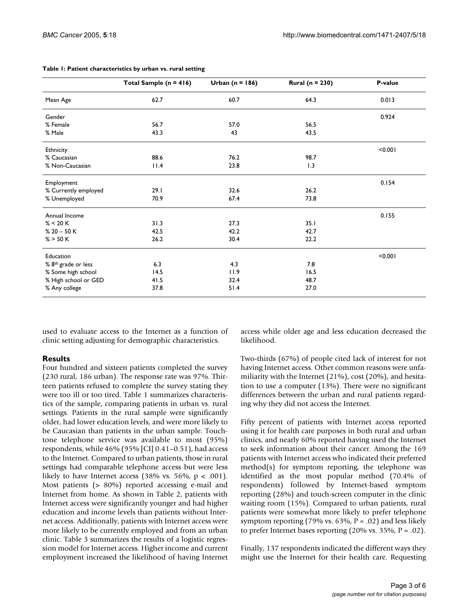|                                 | Total Sample (n = 416) | Urban ( $n = 186$ ) | Rural ( $n = 230$ ) | P-value |
|---------------------------------|------------------------|---------------------|---------------------|---------|
| Mean Age                        | 62.7                   | 60.7                | 64.3                | 0.013   |
| Gender                          |                        |                     |                     | 0.924   |
| % Female                        | 56.7                   | 57.0                | 56.5                |         |
| % Male                          | 43.3                   | 43                  | 43.5                |         |
| Ethnicity                       |                        |                     |                     | < 0.001 |
| % Caucasian                     | 88.6                   | 76.2                | 98.7                |         |
| % Non-Caucasian                 | 11.4                   | 23.8                | 1.3                 |         |
| Employment                      |                        |                     |                     | 0.154   |
| % Currently employed            | 29.1                   | 32.6                | 26.2                |         |
| % Unemployed                    | 70.9                   | 67.4                | 73.8                |         |
| Annual Income                   |                        |                     |                     | 0.155   |
| % < 20 K                        | 31.3                   | 27.3                | 35.1                |         |
| $% 20 - 50 K$                   | 42.5                   | 42.2                | 42.7                |         |
| % > 50 K                        | 26.2                   | 30.4                | 22.2                |         |
| Education                       |                        |                     |                     | < 0.001 |
| % 8 <sup>th</sup> grade or less | 6.3                    | 4.3                 | 7.8                 |         |
| % Some high school              | 14.5                   | 11.9                | 16.5                |         |
| % High school or GED            | 41.5                   | 32.4                | 48.7                |         |
| % Any college                   | 37.8                   | 51.4                | 27.0                |         |

#### <span id="page-2-0"></span>**Table 1: Patient characteristics by urban vs. rural setting**

used to evaluate access to the Internet as a function of clinic setting adjusting for demographic characteristics.

#### **Results**

Four hundred and sixteen patients completed the survey (230 rural, 186 urban). The response rate was 97%. Thirteen patients refused to complete the survey stating they were too ill or too tired. Table [1](#page-2-0) summarizes characteristics of the sample, comparing patients in urban vs. rural settings. Patients in the rural sample were significantly older, had lower education levels, and were more likely to be Caucasian than patients in the urban sample. Touchtone telephone service was available to most (95%) respondents, while 46% (95% [CI] 0.41–0.51), had access to the Internet. Compared to urban patients, those in rural settings had comparable telephone access but were less likely to have Internet access  $(38\% \text{ vs. } 56\%, \text{ p} < .001)$ . Most patients (> 80%) reported accessing e-mail and Internet from home. As shown in Table [2,](#page-3-0) patients with Internet access were significantly younger and had higher education and income levels than patients without Internet access. Additionally, patients with Internet access were more likely to be currently employed and from an urban clinic. Table [3](#page-4-0) summarizes the results of a logistic regression model for Internet access. Higher income and current employment increased the likelihood of having Internet access while older age and less education decreased the likelihood.

Two-thirds (67%) of people cited lack of interest for not having Internet access. Other common reasons were unfamiliarity with the Internet (21%), cost (20%), and hesitation to use a computer (13%). There were no significant differences between the urban and rural patients regarding why they did not access the Internet.

Fifty percent of patients with Internet access reported using it for health care purposes in both rural and urban clinics, and nearly 60% reported having used the Internet to seek information about their cancer. Among the 169 patients with Internet access who indicated their preferred method(s) for symptom reporting, the telephone was identified as the most popular method (70.4% of respondents) followed by Internet-based symptom reporting (28%) and touch-screen computer in the clinic waiting room (15%). Compared to urban patients, rural patients were somewhat more likely to prefer telephone symptom reporting (79% vs. 63%,  $P = .02$ ) and less likely to prefer Internet bases reporting  $(20\% \text{ vs. } 35\%, \text{ P = .02}).$ 

Finally, 137 respondents indicated the different ways they might use the Internet for their health care. Requesting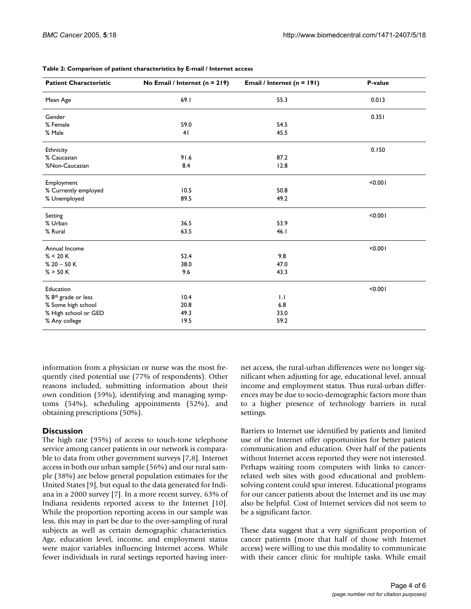| <b>Patient Characteristic</b>     | No Email / Internet $(n = 219)$ | Email / Internet $(n = 191)$ | P-value |
|-----------------------------------|---------------------------------|------------------------------|---------|
| Mean Age                          | 69.1                            | 55.3                         | 0.013   |
| Gender                            |                                 |                              | 0.351   |
| % Female                          | 59.0                            | 54.5                         |         |
| % Male                            | 41                              | 45.5                         |         |
| Ethnicity                         |                                 |                              | 0.150   |
| % Caucasian                       | 91.6                            | 87.2                         |         |
| %Non-Caucasian                    | 8.4                             | 12.8                         |         |
| Employment                        |                                 |                              | < 0.001 |
| % Currently employed              | 10.5                            | 50.8                         |         |
| % Unemployed                      | 89.5                            | 49.2                         |         |
| Setting                           |                                 |                              | < 0.001 |
| % Urban                           | 36.5                            | 53.9                         |         |
| % Rural                           | 63.5                            | 46.1                         |         |
| Annual Income                     |                                 |                              | < 0.001 |
| % < 20 K                          | 52.4                            | 9.8                          |         |
| $% 20 - 50 K$                     | 38.0                            | 47.0                         |         |
| % > 50 K                          | 9.6                             | 43.3                         |         |
| Education                         |                                 |                              | < 0.001 |
| $%$ 8 <sup>th</sup> grade or less | 10.4                            | 1.1                          |         |
| % Some high school                | 20.8                            | 6.8                          |         |
| % High school or GED              | 49.3                            | 33.0                         |         |
| % Any college                     | 19.5                            | 59.2                         |         |

<span id="page-3-0"></span>**Table 2: Comparison of patient characteristics by E-mail / Internet access**

information from a physician or nurse was the most frequently cited potential use (77% of respondents). Other reasons included, submitting information about their own condition (59%), identifying and managing symptoms (54%), scheduling appointments (52%), and obtaining prescriptions (50%).

# **Discussion**

The high rate (95%) of access to touch-tone telephone service among cancer patients in our network is comparable to data from other government surveys [7,8]. Internet access in both our urban sample (56%) and our rural sample (38%) are below general population estimates for the United States [9], but equal to the data generated for Indiana in a 2000 survey [7]. In a more recent survey, 63% of Indiana residents reported access to the Internet [10]. While the proportion reporting access in our sample was less, this may in part be due to the over-sampling of rural subjects as well as certain demographic characteristics. Age, education level, income, and employment status were major variables influencing Internet access. While fewer individuals in rural seetings reported having internet access, the rural-urban differences were no longer significant when adjusting for age, educational level, annual income and employment status. Thus rural-urban differences may be due to socio-demographic factors more than to a higher presence of technology barriers in rural settings.

Barriers to Internet use identified by patients and limited use of the Internet offer opportunities for better patient communication and education. Over half of the patients without Internet access reported they were not interested. Perhaps waiting room computers with links to cancerrelated web sites with good educational and problemsolving content could spur interest. Educational programs for our cancer patients about the Internet and its use may also be helpful. Cost of Internet services did not seem to be a significant factor.

These data suggest that a very significant proportion of cancer patients (more that half of those with Internet access) were willing to use this modality to communicate with their cancer clinic for multiple tasks. While email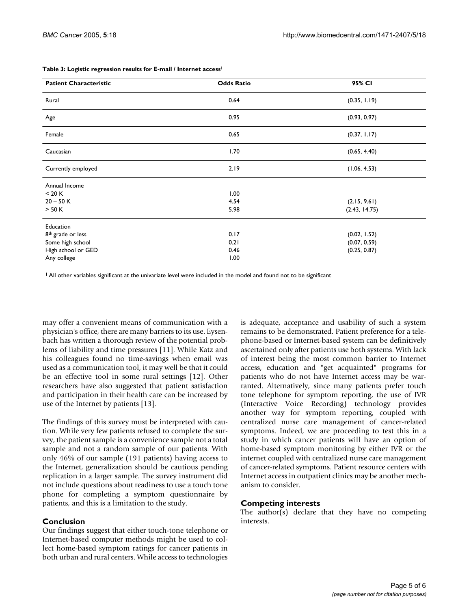| <b>Patient Characteristic</b> | <b>Odds Ratio</b> | 95% CI        |
|-------------------------------|-------------------|---------------|
| Rural                         | 0.64              | (0.35, 1.19)  |
| Age                           | 0.95              | (0.93, 0.97)  |
| Female                        | 0.65              | (0.37, 1.17)  |
| Caucasian                     | 1.70              | (0.65, 4.40)  |
| Currently employed            | 2.19              | (1.06, 4.53)  |
| Annual Income                 |                   |               |
| < 20 K                        | 1.00              |               |
| $20 - 50 K$                   | 4.54              | (2.15, 9.61)  |
| > 50 K                        | 5.98              | (2.43, 14.75) |
| Education                     |                   |               |
| 8 <sup>th</sup> grade or less | 0.17              | (0.02, 1.52)  |
| Some high school              | 0.21              | (0.07, 0.59)  |
| High school or GED            | 0.46              | (0.25, 0.87)  |
| Any college                   | 1.00              |               |

#### <span id="page-4-0"></span>**Table 3: Logistic regression results for E-mail / Internet access1**

1 All other variables significant at the univariate level were included in the model and found not to be significant

may offer a convenient means of communication with a physician's office, there are many barriers to its use. Eysenbach has written a thorough review of the potential problems of liability and time pressures [11]. While Katz and his colleagues found no time-savings when email was used as a communication tool, it may well be that it could be an effective tool in some rural settings [12]. Other researchers have also suggested that patient satisfaction and participation in their health care can be increased by use of the Internet by patients [13].

The findings of this survey must be interpreted with caution. While very few patients refused to complete the survey, the patient sample is a convenience sample not a total sample and not a random sample of our patients. With only 46% of our sample (191 patients) having access to the Internet, generalization should be cautious pending replication in a larger sample. The survey instrument did not include questions about readiness to use a touch tone phone for completing a symptom questionnaire by patients, and this is a limitation to the study.

#### **Conclusion**

Our findings suggest that either touch-tone telephone or Internet-based computer methods might be used to collect home-based symptom ratings for cancer patients in both urban and rural centers. While access to technologies

is adequate, acceptance and usability of such a system remains to be demonstrated. Patient preference for a telephone-based or Internet-based system can be definitively ascertained only after patients use both systems. With lack of interest being the most common barrier to Internet access, education and "get acquainted" programs for patients who do not have Internet access may be warranted. Alternatively, since many patients prefer touch tone telephone for symptom reporting, the use of IVR (Interactive Voice Recording) technology provides another way for symptom reporting, coupled with centralized nurse care management of cancer-related symptoms. Indeed, we are proceeding to test this in a study in which cancer patients will have an option of home-based symptom monitoring by either IVR or the internet coupled with centralized nurse care management of cancer-related symptoms. Patient resource centers with Internet access in outpatient clinics may be another mechanism to consider.

#### **Competing interests**

The author(s) declare that they have no competing interests.